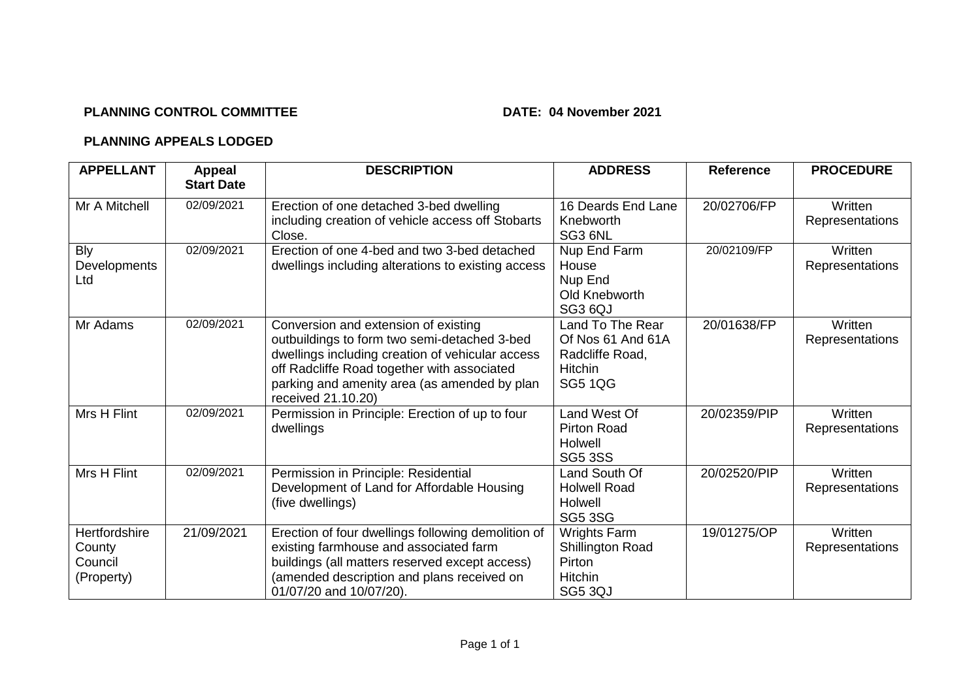## **PLANNING CONTROL COMMITTEE DATE: 04 November 2021**

## **PLANNING APPEALS LODGED**

| <b>APPELLANT</b>                                 | Appeal<br><b>Start Date</b> | <b>DESCRIPTION</b>                                                                                                                                                                                                                                            | <b>ADDRESS</b>                                                                               | <b>Reference</b> | <b>PROCEDURE</b>           |
|--------------------------------------------------|-----------------------------|---------------------------------------------------------------------------------------------------------------------------------------------------------------------------------------------------------------------------------------------------------------|----------------------------------------------------------------------------------------------|------------------|----------------------------|
| Mr A Mitchell                                    | 02/09/2021                  | Erection of one detached 3-bed dwelling<br>including creation of vehicle access off Stobarts<br>Close.                                                                                                                                                        | 16 Deards End Lane<br>Knebworth<br>SG3 6NL                                                   | 20/02706/FP      | Written<br>Representations |
| <b>Bly</b><br>Developments<br>Ltd                | 02/09/2021                  | Erection of one 4-bed and two 3-bed detached<br>dwellings including alterations to existing access                                                                                                                                                            | Nup End Farm<br>House<br>Nup End<br>Old Knebworth<br>SG3 6QJ                                 | 20/02109/FP      | Written<br>Representations |
| Mr Adams                                         | 02/09/2021                  | Conversion and extension of existing<br>outbuildings to form two semi-detached 3-bed<br>dwellings including creation of vehicular access<br>off Radcliffe Road together with associated<br>parking and amenity area (as amended by plan<br>received 21.10.20) | Land To The Rear<br>Of Nos 61 And 61A<br>Radcliffe Road,<br><b>Hitchin</b><br><b>SG5 1QG</b> | 20/01638/FP      | Written<br>Representations |
| Mrs H Flint                                      | 02/09/2021                  | Permission in Principle: Erection of up to four<br>dwellings                                                                                                                                                                                                  | Land West Of<br><b>Pirton Road</b><br>Holwell<br><b>SG5 3SS</b>                              | 20/02359/PIP     | Written<br>Representations |
| Mrs H Flint                                      | 02/09/2021                  | Permission in Principle: Residential<br>Development of Land for Affordable Housing<br>(five dwellings)                                                                                                                                                        | Land South Of<br><b>Holwell Road</b><br>Holwell<br><b>SG5 3SG</b>                            | 20/02520/PIP     | Written<br>Representations |
| Hertfordshire<br>County<br>Council<br>(Property) | 21/09/2021                  | Erection of four dwellings following demolition of<br>existing farmhouse and associated farm<br>buildings (all matters reserved except access)<br>(amended description and plans received on<br>01/07/20 and 10/07/20).                                       | Wrights Farm<br><b>Shillington Road</b><br>Pirton<br>Hitchin<br>SG5 3QJ                      | 19/01275/OP      | Written<br>Representations |